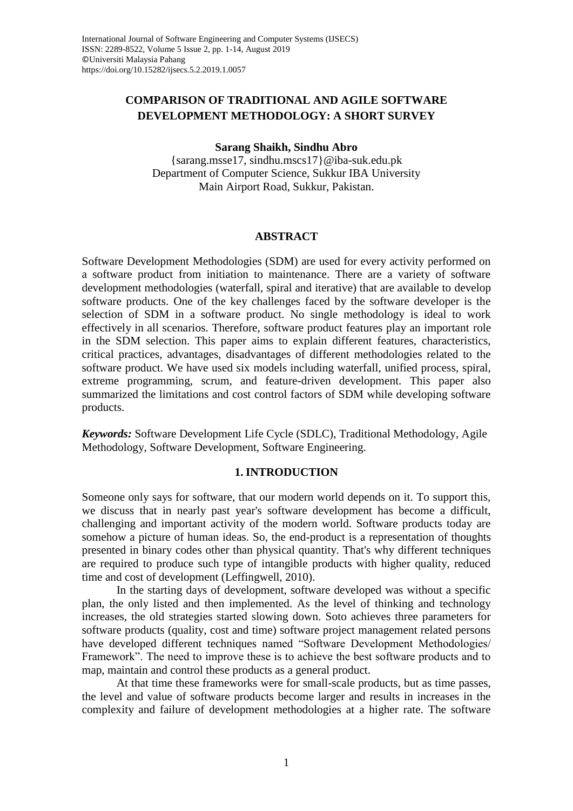# **COMPARISON OF TRADITIONAL AND AGILE SOFTWARE DEVELOPMENT METHODOLOGY: A SHORT SURVEY**

**Sarang Shaikh, Sindhu Abro**

{sarang.msse17, sindhu.mscs17}@iba-suk.edu.pk Department of Computer Science, Sukkur IBA University Main Airport Road, Sukkur, Pakistan.

## **ABSTRACT**

Software Development Methodologies (SDM) are used for every activity performed on a software product from initiation to maintenance. There are a variety of software development methodologies (waterfall, spiral and iterative) that are available to develop software products. One of the key challenges faced by the software developer is the selection of SDM in a software product. No single methodology is ideal to work effectively in all scenarios. Therefore, software product features play an important role in the SDM selection. This paper aims to explain different features, characteristics, critical practices, advantages, disadvantages of different methodologies related to the software product. We have used six models including waterfall, unified process, spiral, extreme programming, scrum, and feature-driven development. This paper also summarized the limitations and cost control factors of SDM while developing software products.

*Keywords:* Software Development Life Cycle (SDLC), Traditional Methodology, Agile Methodology, Software Development, Software Engineering.

### **1. INTRODUCTION**

Someone only says for software, that our modern world depends on it. To support this, we discuss that in nearly past year's software development has become a difficult, challenging and important activity of the modern world. Software products today are somehow a picture of human ideas. So, the end-product is a representation of thoughts presented in binary codes other than physical quantity. That's why different techniques are required to produce such type of intangible products with higher quality, reduced time and cost of development (Leffingwell, 2010).

In the starting days of development, software developed was without a specific plan, the only listed and then implemented. As the level of thinking and technology increases, the old strategies started slowing down. Soto achieves three parameters for software products (quality, cost and time) software project management related persons have developed different techniques named "Software Development Methodologies/ Framework". The need to improve these is to achieve the best software products and to map, maintain and control these products as a general product.

At that time these frameworks were for small-scale products, but as time passes, the level and value of software products become larger and results in increases in the complexity and failure of development methodologies at a higher rate. The software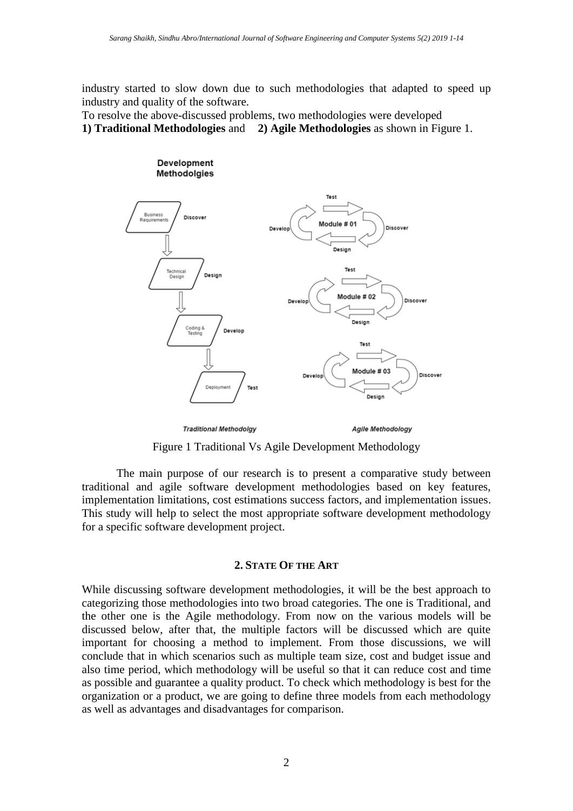industry started to slow down due to such methodologies that adapted to speed up industry and quality of the software.

To resolve the above-discussed problems, two methodologies were developed

**1) Traditional Methodologies** and **2) Agile Methodologies** as shown in Figure 1.



Figure 1 Traditional Vs Agile Development Methodology

The main purpose of our research is to present a comparative study between traditional and agile software development methodologies based on key features, implementation limitations, cost estimations success factors, and implementation issues. This study will help to select the most appropriate software development methodology for a specific software development project.

#### **2. STATE OF THE ART**

While discussing software development methodologies, it will be the best approach to categorizing those methodologies into two broad categories. The one is Traditional, and the other one is the Agile methodology. From now on the various models will be discussed below, after that, the multiple factors will be discussed which are quite important for choosing a method to implement. From those discussions, we will conclude that in which scenarios such as multiple team size, cost and budget issue and also time period, which methodology will be useful so that it can reduce cost and time as possible and guarantee a quality product. To check which methodology is best for the organization or a product, we are going to define three models from each methodology as well as advantages and disadvantages for comparison.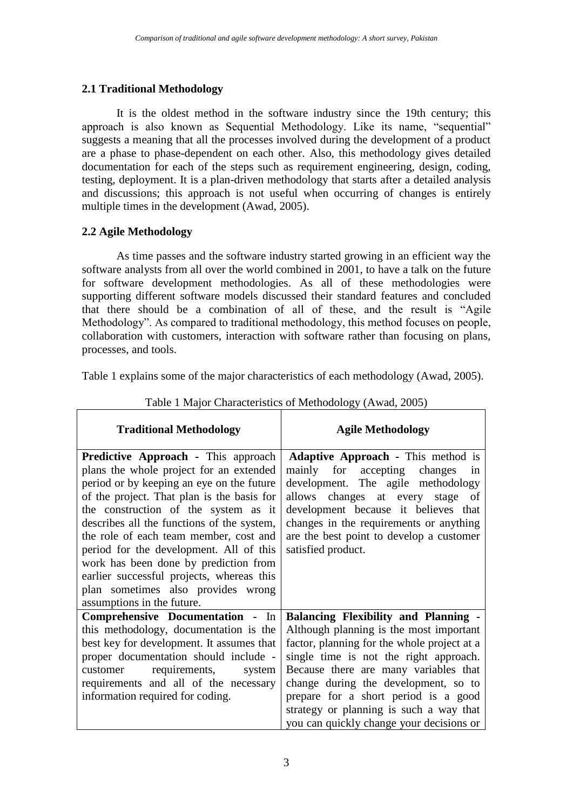# **2.1 Traditional Methodology**

It is the oldest method in the software industry since the 19th century; this approach is also known as Sequential Methodology. Like its name, "sequential" suggests a meaning that all the processes involved during the development of a product are a phase to phase-dependent on each other. Also, this methodology gives detailed documentation for each of the steps such as requirement engineering, design, coding, testing, deployment. It is a plan-driven methodology that starts after a detailed analysis and discussions; this approach is not useful when occurring of changes is entirely multiple times in the development (Awad, 2005).

# **2.2 Agile Methodology**

As time passes and the software industry started growing in an efficient way the software analysts from all over the world combined in 2001, to have a talk on the future for software development methodologies. As all of these methodologies were supporting different software models discussed their standard features and concluded that there should be a combination of all of these, and the result is "Agile Methodology". As compared to traditional methodology, this method focuses on people, collaboration with customers, interaction with software rather than focusing on plans, processes, and tools.

Table 1 explains some of the major characteristics of each methodology (Awad, 2005).

| <b>Traditional Methodology</b>                                                                                                                                                                                                                                                                                                                                                                                                                                                                                        | <b>Agile Methodology</b>                                                                                                                                                                                                                                                                                                                                                                        |
|-----------------------------------------------------------------------------------------------------------------------------------------------------------------------------------------------------------------------------------------------------------------------------------------------------------------------------------------------------------------------------------------------------------------------------------------------------------------------------------------------------------------------|-------------------------------------------------------------------------------------------------------------------------------------------------------------------------------------------------------------------------------------------------------------------------------------------------------------------------------------------------------------------------------------------------|
| <b>Predictive Approach - This approach</b><br>plans the whole project for an extended<br>period or by keeping an eye on the future<br>of the project. That plan is the basis for<br>the construction of the system as it<br>describes all the functions of the system,<br>the role of each team member, cost and<br>period for the development. All of this<br>work has been done by prediction from<br>earlier successful projects, whereas this<br>plan sometimes also provides wrong<br>assumptions in the future. | <b>Adaptive Approach - This method is</b><br>mainly for accepting<br>changes<br>in<br>development. The agile methodology<br>allows changes at every stage<br>- of<br>development because it believes that<br>changes in the requirements or anything<br>are the best point to develop a customer<br>satisfied product.                                                                          |
| <b>Comprehensive Documentation - In</b><br>this methodology, documentation is the<br>best key for development. It assumes that<br>proper documentation should include -<br>requirements,<br>customer<br>system<br>requirements and all of the necessary<br>information required for coding.                                                                                                                                                                                                                           | <b>Balancing Flexibility and Planning -</b><br>Although planning is the most important<br>factor, planning for the whole project at a<br>single time is not the right approach.<br>Because there are many variables that<br>change during the development, so to<br>prepare for a short period is a good<br>strategy or planning is such a way that<br>you can quickly change your decisions or |

## Table 1 Major Characteristics of Methodology (Awad, 2005)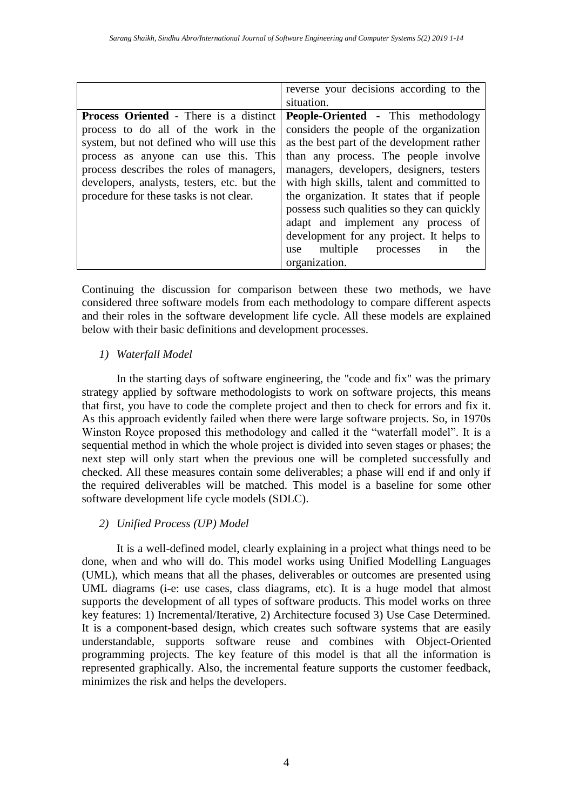|                                               | reverse your decisions according to the<br>situation. |
|-----------------------------------------------|-------------------------------------------------------|
| <b>Process Oriented</b> - There is a distinct | <b>People-Oriented - This methodology</b>             |
| process to do all of the work in the          | considers the people of the organization              |
| system, but not defined who will use this     | as the best part of the development rather            |
| process as anyone can use this. This          | than any process. The people involve                  |
| process describes the roles of managers,      | managers, developers, designers, testers              |
| developers, analysts, testers, etc. but the   | with high skills, talent and committed to             |
| procedure for these tasks is not clear.       | the organization. It states that if people            |
|                                               | possess such qualities so they can quickly            |
|                                               | adapt and implement any process of                    |
|                                               | development for any project. It helps to              |
|                                               | multiple processes<br>the<br>in<br>use                |
|                                               | organization.                                         |

Continuing the discussion for comparison between these two methods, we have considered three software models from each methodology to compare different aspects and their roles in the software development life cycle. All these models are explained below with their basic definitions and development processes.

## *1) Waterfall Model*

In the starting days of software engineering, the "code and fix" was the primary strategy applied by software methodologists to work on software projects, this means that first, you have to code the complete project and then to check for errors and fix it. As this approach evidently failed when there were large software projects. So, in 1970s Winston Royce proposed this methodology and called it the "waterfall model". It is a sequential method in which the whole project is divided into seven stages or phases; the next step will only start when the previous one will be completed successfully and checked. All these measures contain some deliverables; a phase will end if and only if the required deliverables will be matched. This model is a baseline for some other software development life cycle models (SDLC).

## *2) Unified Process (UP) Model*

It is a well-defined model, clearly explaining in a project what things need to be done, when and who will do. This model works using Unified Modelling Languages (UML), which means that all the phases, deliverables or outcomes are presented using UML diagrams (i-e: use cases, class diagrams, etc). It is a huge model that almost supports the development of all types of software products. This model works on three key features: 1) Incremental/Iterative, 2) Architecture focused 3) Use Case Determined. It is a component-based design, which creates such software systems that are easily understandable, supports software reuse and combines with Object-Oriented programming projects. The key feature of this model is that all the information is represented graphically. Also, the incremental feature supports the customer feedback, minimizes the risk and helps the developers.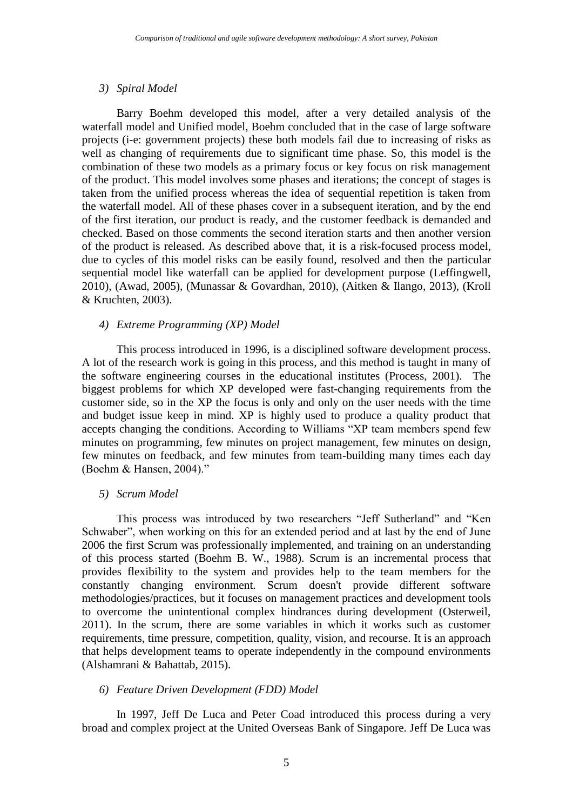#### *3) Spiral Model*

Barry Boehm developed this model, after a very detailed analysis of the waterfall model and Unified model, Boehm concluded that in the case of large software projects (i-e: government projects) these both models fail due to increasing of risks as well as changing of requirements due to significant time phase. So, this model is the combination of these two models as a primary focus or key focus on risk management of the product. This model involves some phases and iterations; the concept of stages is taken from the unified process whereas the idea of sequential repetition is taken from the waterfall model. All of these phases cover in a subsequent iteration, and by the end of the first iteration, our product is ready, and the customer feedback is demanded and checked. Based on those comments the second iteration starts and then another version of the product is released. As described above that, it is a risk-focused process model, due to cycles of this model risks can be easily found, resolved and then the particular sequential model like waterfall can be applied for development purpose (Leffingwell, 2010), (Awad, 2005), (Munassar & Govardhan, 2010), (Aitken & Ilango, 2013), (Kroll & Kruchten, 2003).

#### *4) Extreme Programming (XP) Model*

This process introduced in 1996, is a disciplined software development process. A lot of the research work is going in this process, and this method is taught in many of the software engineering courses in the educational institutes (Process, 2001). The biggest problems for which XP developed were fast-changing requirements from the customer side, so in the XP the focus is only and only on the user needs with the time and budget issue keep in mind. XP is highly used to produce a quality product that accepts changing the conditions. According to Williams "XP team members spend few minutes on programming, few minutes on project management, few minutes on design, few minutes on feedback, and few minutes from team-building many times each day (Boehm & Hansen, 2004)."

#### *5) Scrum Model*

This process was introduced by two researchers "Jeff Sutherland" and "Ken Schwaber", when working on this for an extended period and at last by the end of June 2006 the first Scrum was professionally implemented, and training on an understanding of this process started (Boehm B. W., 1988). Scrum is an incremental process that provides flexibility to the system and provides help to the team members for the constantly changing environment. Scrum doesn't provide different software methodologies/practices, but it focuses on management practices and development tools to overcome the unintentional complex hindrances during development (Osterweil, 2011). In the scrum, there are some variables in which it works such as customer requirements, time pressure, competition, quality, vision, and recourse. It is an approach that helps development teams to operate independently in the compound environments (Alshamrani & Bahattab, 2015).

### *6) Feature Driven Development (FDD) Model*

In 1997, Jeff De Luca and Peter Coad introduced this process during a very broad and complex project at the United Overseas Bank of Singapore. Jeff De Luca was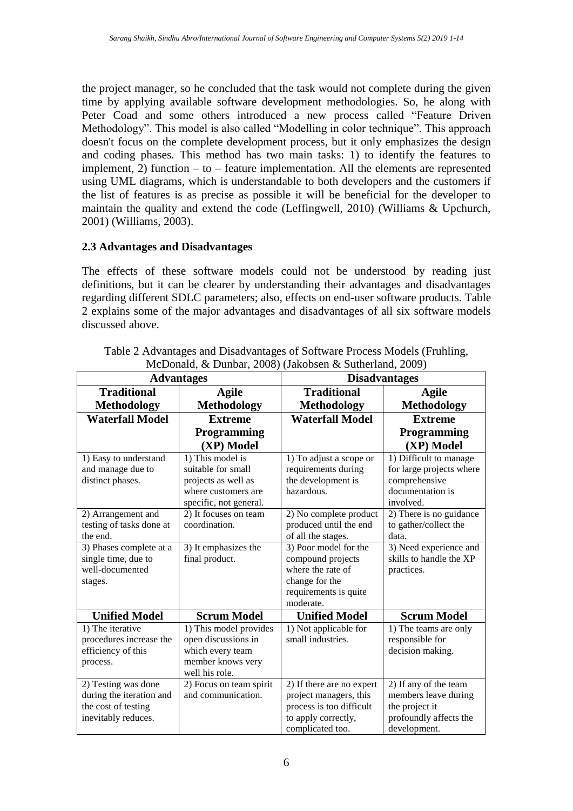the project manager, so he concluded that the task would not complete during the given time by applying available software development methodologies. So, he along with Peter Coad and some others introduced a new process called "Feature Driven Methodology". This model is also called "Modelling in color technique". This approach doesn't focus on the complete development process, but it only emphasizes the design and coding phases. This method has two main tasks: 1) to identify the features to implement, 2) function – to – feature implementation. All the elements are represented using UML diagrams, which is understandable to both developers and the customers if the list of features is as precise as possible it will be beneficial for the developer to maintain the quality and extend the code (Leffingwell, 2010) (Williams & Upchurch, 2001) (Williams, 2003).

### **2.3 Advantages and Disadvantages**

The effects of these software models could not be understood by reading just definitions, but it can be clearer by understanding their advantages and disadvantages regarding different SDLC parameters; also, effects on end-user software products. Table 2 explains some of the major advantages and disadvantages of all six software models discussed above.

|                          | <b>Advantages</b>       | <b>Disadvantages</b>      |                          |  |
|--------------------------|-------------------------|---------------------------|--------------------------|--|
| <b>Traditional</b>       | <b>Agile</b>            | <b>Traditional</b>        | <b>Agile</b>             |  |
| <b>Methodology</b>       | <b>Methodology</b>      | <b>Methodology</b>        | <b>Methodology</b>       |  |
| <b>Waterfall Model</b>   | <b>Extreme</b>          | <b>Waterfall Model</b>    | <b>Extreme</b>           |  |
|                          | <b>Programming</b>      |                           | <b>Programming</b>       |  |
|                          | (XP) Model              |                           | (XP) Model               |  |
| 1) Easy to understand    | 1) This model is        | 1) To adjust a scope or   | 1) Difficult to manage   |  |
| and manage due to        | suitable for small      | requirements during       | for large projects where |  |
| distinct phases.         | projects as well as     | the development is        | comprehensive            |  |
|                          | where customers are     | hazardous.                | documentation is         |  |
|                          | specific, not general.  |                           | involved.                |  |
| 2) Arrangement and       | 2) It focuses on team   | 2) No complete product    | 2) There is no guidance  |  |
| testing of tasks done at | coordination.           | produced until the end    | to gather/collect the    |  |
| the end.                 |                         | of all the stages.        | data.                    |  |
| 3) Phases complete at a  | 3) It emphasizes the    | 3) Poor model for the     | 3) Need experience and   |  |
| single time, due to      | final product.          | compound projects         | skills to handle the XP  |  |
| well-documented          |                         | where the rate of         | practices.               |  |
| stages.                  |                         | change for the            |                          |  |
|                          |                         | requirements is quite     |                          |  |
|                          |                         | moderate.                 |                          |  |
| <b>Unified Model</b>     | <b>Scrum Model</b>      | <b>Unified Model</b>      | <b>Scrum Model</b>       |  |
| 1) The iterative         | 1) This model provides  | 1) Not applicable for     | 1) The teams are only    |  |
| procedures increase the  | open discussions in     | small industries.         | responsible for          |  |
| efficiency of this       | which every team        |                           | decision making.         |  |
| process.                 | member knows very       |                           |                          |  |
|                          | well his role.          |                           |                          |  |
| 2) Testing was done      | 2) Focus on team spirit | 2) If there are no expert | 2) If any of the team    |  |
| during the iteration and | and communication.      | project managers, this    | members leave during     |  |
| the cost of testing      |                         | process is too difficult  | the project it           |  |
| inevitably reduces.      |                         | to apply correctly,       | profoundly affects the   |  |
|                          |                         | complicated too.          | development.             |  |

Table 2 Advantages and Disadvantages of Software Process Models (Fruhling, McDonald, & Dunbar, 2008) (Jakobsen & Sutherland, 2009)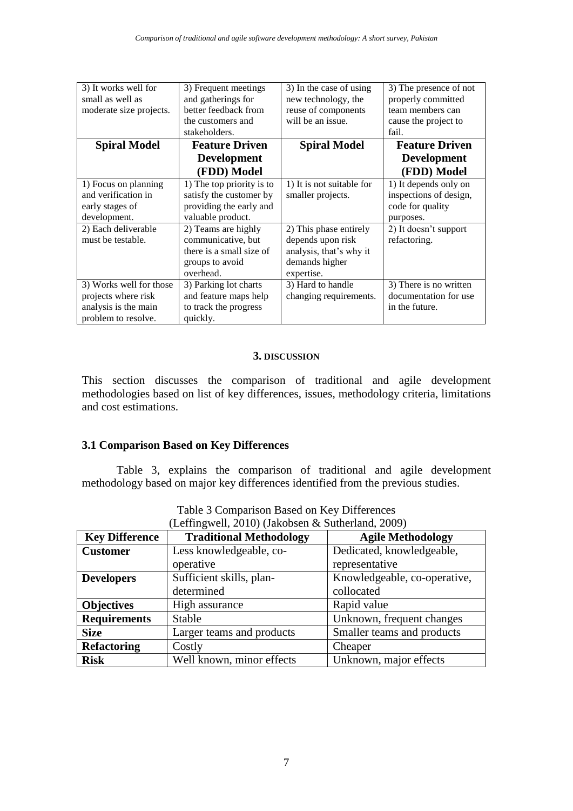| 3) It works well for<br>small as well as<br>moderate size projects.                           | 3) Frequent meetings<br>and gatherings for<br>better feedback from<br>the customers and<br>stakeholders. | 3) In the case of using<br>new technology, the<br>reuse of components<br>will be an issue.             | 3) The presence of not<br>properly committed<br>team members can<br>cause the project to<br>fail. |
|-----------------------------------------------------------------------------------------------|----------------------------------------------------------------------------------------------------------|--------------------------------------------------------------------------------------------------------|---------------------------------------------------------------------------------------------------|
| <b>Spiral Model</b>                                                                           | <b>Feature Driven</b>                                                                                    | <b>Spiral Model</b>                                                                                    | <b>Feature Driven</b>                                                                             |
|                                                                                               | <b>Development</b>                                                                                       |                                                                                                        | <b>Development</b>                                                                                |
|                                                                                               | (FDD) Model                                                                                              |                                                                                                        | (FDD) Model                                                                                       |
| 1) Focus on planning<br>and verification in<br>early stages of<br>development.                | 1) The top priority is to<br>satisfy the customer by<br>providing the early and<br>valuable product.     | 1) It is not suitable for<br>smaller projects.                                                         | 1) It depends only on<br>inspections of design,<br>code for quality<br>purposes.                  |
| 2) Each deliverable<br>must be testable.                                                      | 2) Teams are highly<br>communicative, but<br>there is a small size of<br>groups to avoid<br>overhead.    | 2) This phase entirely<br>depends upon risk<br>analysis, that's why it<br>demands higher<br>expertise. | 2) It doesn't support<br>refactoring.                                                             |
| 3) Works well for those<br>projects where risk<br>analysis is the main<br>problem to resolve. | 3) Parking lot charts<br>and feature maps help<br>to track the progress<br>quickly.                      | 3) Hard to handle<br>changing requirements.                                                            | 3) There is no written<br>documentation for use<br>in the future.                                 |

#### **3. DISCUSSION**

This section discusses the comparison of traditional and agile development methodologies based on list of key differences, issues, methodology criteria, limitations and cost estimations.

### **3.1 Comparison Based on Key Differences**

Table 3, explains the comparison of traditional and agile development methodology based on major key differences identified from the previous studies.

| (Leffingwell, 2010) (Jakobsen & Sutherland, 2009) |                                |                              |  |  |  |
|---------------------------------------------------|--------------------------------|------------------------------|--|--|--|
| <b>Key Difference</b>                             | <b>Traditional Methodology</b> | <b>Agile Methodology</b>     |  |  |  |
| <b>Customer</b>                                   | Less knowledgeable, co-        | Dedicated, knowledgeable,    |  |  |  |
|                                                   | operative                      | representative               |  |  |  |
| <b>Developers</b>                                 | Sufficient skills, plan-       | Knowledgeable, co-operative, |  |  |  |
|                                                   | determined                     | collocated                   |  |  |  |
| <b>Objectives</b>                                 | High assurance                 | Rapid value                  |  |  |  |
| <b>Requirements</b>                               | Stable                         | Unknown, frequent changes    |  |  |  |
| <b>Size</b>                                       | Larger teams and products      | Smaller teams and products   |  |  |  |
| <b>Refactoring</b>                                | Costly                         | Cheaper                      |  |  |  |
| <b>Risk</b>                                       | Well known, minor effects      | Unknown, major effects       |  |  |  |

| Table 3 Comparison Based on Key Differences |  |  |  |  |  |  |
|---------------------------------------------|--|--|--|--|--|--|
|                                             |  |  |  |  |  |  |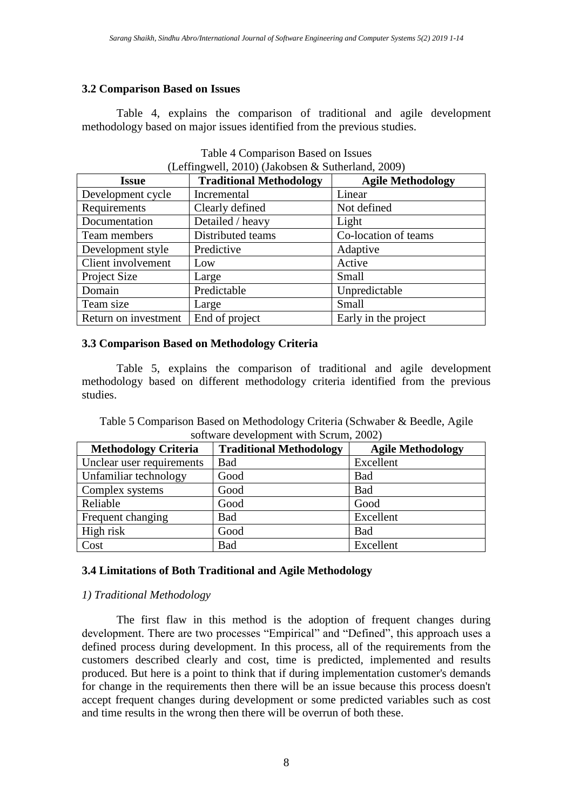#### **3.2 Comparison Based on Issues**

Table 4, explains the comparison of traditional and agile development methodology based on major issues identified from the previous studies.

| <b>Issue</b>         | <b>Traditional Methodology</b> | <b>Agile Methodology</b> |
|----------------------|--------------------------------|--------------------------|
| Development cycle    | Incremental                    | Linear                   |
| Requirements         | Clearly defined                | Not defined              |
| Documentation        | Detailed / heavy               | Light                    |
| Team members         | Distributed teams              | Co-location of teams     |
| Development style    | Predictive                     | Adaptive                 |
| Client involvement   | Low                            | Active                   |
| Project Size         | Large                          | Small                    |
| Domain               | Predictable                    | Unpredictable            |
| Team size            | Large                          | Small                    |
| Return on investment | End of project                 | Early in the project     |

Table 4 Comparison Based on Issues (Leffingwell, 2010) (Jakobsen & Sutherland, 2009)

#### **3.3 Comparison Based on Methodology Criteria**

Table 5, explains the comparison of traditional and agile development methodology based on different methodology criteria identified from the previous studies.

Table 5 Comparison Based on Methodology Criteria (Schwaber & Beedle, Agile software development with Scrum, 2002)

| <b>Methodology Criteria</b> | <b>Traditional Methodology</b> | <b>Agile Methodology</b> |
|-----------------------------|--------------------------------|--------------------------|
| Unclear user requirements   | <b>Bad</b>                     | Excellent                |
| Unfamiliar technology       | Good                           | <b>Bad</b>               |
| Complex systems             | Good                           | <b>Bad</b>               |
| Reliable                    | Good                           | Good                     |
| Frequent changing           | Bad                            | Excellent                |
| High risk                   | Good                           | Bad                      |
| Cost                        | <b>Bad</b>                     | Excellent                |

### **3.4 Limitations of Both Traditional and Agile Methodology**

#### *1) Traditional Methodology*

The first flaw in this method is the adoption of frequent changes during development. There are two processes "Empirical" and "Defined", this approach uses a defined process during development. In this process, all of the requirements from the customers described clearly and cost, time is predicted, implemented and results produced. But here is a point to think that if during implementation customer's demands for change in the requirements then there will be an issue because this process doesn't accept frequent changes during development or some predicted variables such as cost and time results in the wrong then there will be overrun of both these.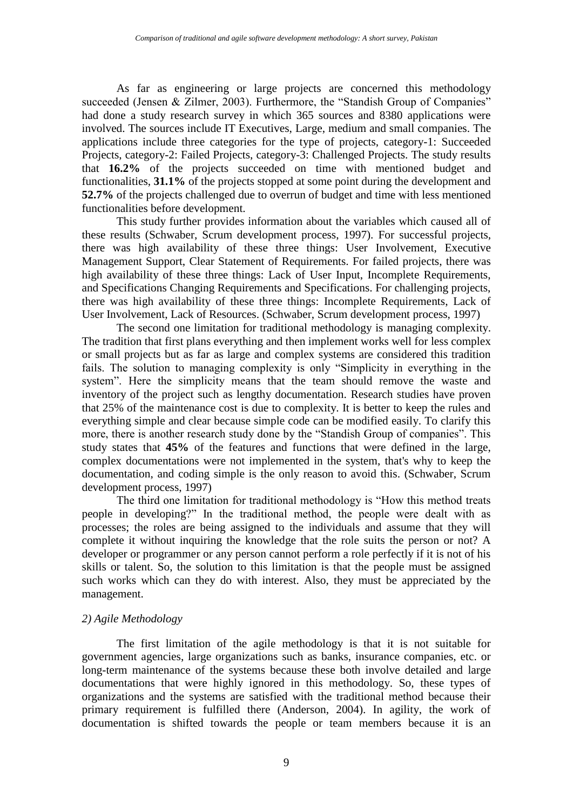As far as engineering or large projects are concerned this methodology succeeded (Jensen & Zilmer, 2003). Furthermore, the "Standish Group of Companies" had done a study research survey in which 365 sources and 8380 applications were involved. The sources include IT Executives, Large, medium and small companies. The applications include three categories for the type of projects, category-1: Succeeded Projects, category-2: Failed Projects, category-3: Challenged Projects. The study results that **16.2%** of the projects succeeded on time with mentioned budget and functionalities, **31.1%** of the projects stopped at some point during the development and **52.7%** of the projects challenged due to overrun of budget and time with less mentioned functionalities before development.

This study further provides information about the variables which caused all of these results (Schwaber, Scrum development process, 1997). For successful projects, there was high availability of these three things: User Involvement, Executive Management Support, Clear Statement of Requirements. For failed projects, there was high availability of these three things: Lack of User Input, Incomplete Requirements, and Specifications Changing Requirements and Specifications. For challenging projects, there was high availability of these three things: Incomplete Requirements, Lack of User Involvement, Lack of Resources. (Schwaber, Scrum development process, 1997)

The second one limitation for traditional methodology is managing complexity. The tradition that first plans everything and then implement works well for less complex or small projects but as far as large and complex systems are considered this tradition fails. The solution to managing complexity is only "Simplicity in everything in the system". Here the simplicity means that the team should remove the waste and inventory of the project such as lengthy documentation. Research studies have proven that 25% of the maintenance cost is due to complexity. It is better to keep the rules and everything simple and clear because simple code can be modified easily. To clarify this more, there is another research study done by the "Standish Group of companies". This study states that **45%** of the features and functions that were defined in the large, complex documentations were not implemented in the system, that's why to keep the documentation, and coding simple is the only reason to avoid this. (Schwaber, Scrum development process, 1997)

The third one limitation for traditional methodology is "How this method treats people in developing?" In the traditional method, the people were dealt with as processes; the roles are being assigned to the individuals and assume that they will complete it without inquiring the knowledge that the role suits the person or not? A developer or programmer or any person cannot perform a role perfectly if it is not of his skills or talent. So, the solution to this limitation is that the people must be assigned such works which can they do with interest. Also, they must be appreciated by the management.

## *2) Agile Methodology*

The first limitation of the agile methodology is that it is not suitable for government agencies, large organizations such as banks, insurance companies, etc. or long-term maintenance of the systems because these both involve detailed and large documentations that were highly ignored in this methodology. So, these types of organizations and the systems are satisfied with the traditional method because their primary requirement is fulfilled there (Anderson, 2004). In agility, the work of documentation is shifted towards the people or team members because it is an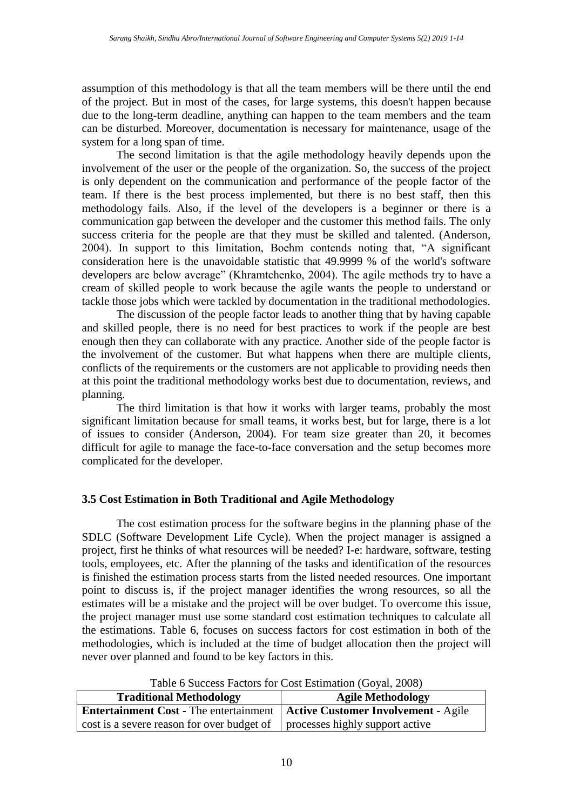assumption of this methodology is that all the team members will be there until the end of the project. But in most of the cases, for large systems, this doesn't happen because due to the long-term deadline, anything can happen to the team members and the team can be disturbed. Moreover, documentation is necessary for maintenance, usage of the system for a long span of time.

The second limitation is that the agile methodology heavily depends upon the involvement of the user or the people of the organization. So, the success of the project is only dependent on the communication and performance of the people factor of the team. If there is the best process implemented, but there is no best staff, then this methodology fails. Also, if the level of the developers is a beginner or there is a communication gap between the developer and the customer this method fails. The only success criteria for the people are that they must be skilled and talented. (Anderson, 2004). In support to this limitation, Boehm contends noting that, "A significant consideration here is the unavoidable statistic that 49.9999 % of the world's software developers are below average" (Khramtchenko, 2004). The agile methods try to have a cream of skilled people to work because the agile wants the people to understand or tackle those jobs which were tackled by documentation in the traditional methodologies.

The discussion of the people factor leads to another thing that by having capable and skilled people, there is no need for best practices to work if the people are best enough then they can collaborate with any practice. Another side of the people factor is the involvement of the customer. But what happens when there are multiple clients, conflicts of the requirements or the customers are not applicable to providing needs then at this point the traditional methodology works best due to documentation, reviews, and planning.

The third limitation is that how it works with larger teams, probably the most significant limitation because for small teams, it works best, but for large, there is a lot of issues to consider (Anderson, 2004). For team size greater than 20, it becomes difficult for agile to manage the face-to-face conversation and the setup becomes more complicated for the developer.

### **3.5 Cost Estimation in Both Traditional and Agile Methodology**

The cost estimation process for the software begins in the planning phase of the SDLC (Software Development Life Cycle). When the project manager is assigned a project, first he thinks of what resources will be needed? I-e: hardware, software, testing tools, employees, etc. After the planning of the tasks and identification of the resources is finished the estimation process starts from the listed needed resources. One important point to discuss is, if the project manager identifies the wrong resources, so all the estimates will be a mistake and the project will be over budget. To overcome this issue, the project manager must use some standard cost estimation techniques to calculate all the estimations. Table 6, focuses on success factors for cost estimation in both of the methodologies, which is included at the time of budget allocation then the project will never over planned and found to be key factors in this.

Table 6 Success Factors for Cost Estimation (Goyal, 2008)

| <b>Traditional Methodology</b>                                                                 | <b>Agile Methodology</b> |
|------------------------------------------------------------------------------------------------|--------------------------|
| <b>Entertainment Cost - The entertainment   Active Customer Involvement - Agile</b>            |                          |
| $\alpha$ cost is a severe reason for over budget of $\alpha$   processes highly support active |                          |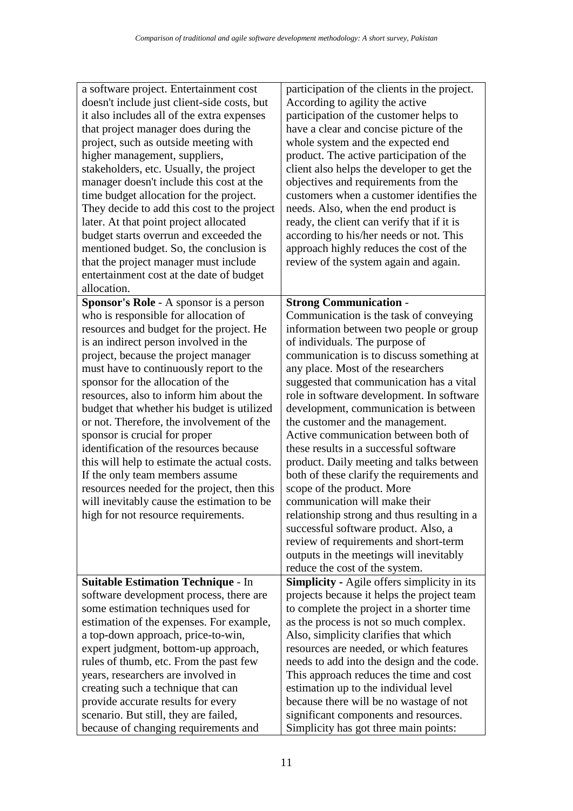| a software project. Entertainment cost<br>doesn't include just client-side costs, but<br>it also includes all of the extra expenses<br>that project manager does during the<br>project, such as outside meeting with<br>higher management, suppliers,<br>stakeholders, etc. Usually, the project<br>manager doesn't include this cost at the<br>time budget allocation for the project.<br>They decide to add this cost to the project<br>later. At that point project allocated<br>budget starts overrun and exceeded the<br>mentioned budget. So, the conclusion is<br>that the project manager must include<br>entertainment cost at the date of budget<br>allocation.<br>Sponsor's Role - A sponsor is a person | participation of the clients in the project.<br>According to agility the active<br>participation of the customer helps to<br>have a clear and concise picture of the<br>whole system and the expected end<br>product. The active participation of the<br>client also helps the developer to get the<br>objectives and requirements from the<br>customers when a customer identifies the<br>needs. Also, when the end product is<br>ready, the client can verify that if it is<br>according to his/her needs or not. This<br>approach highly reduces the cost of the<br>review of the system again and again.<br><b>Strong Communication -</b> |
|---------------------------------------------------------------------------------------------------------------------------------------------------------------------------------------------------------------------------------------------------------------------------------------------------------------------------------------------------------------------------------------------------------------------------------------------------------------------------------------------------------------------------------------------------------------------------------------------------------------------------------------------------------------------------------------------------------------------|-----------------------------------------------------------------------------------------------------------------------------------------------------------------------------------------------------------------------------------------------------------------------------------------------------------------------------------------------------------------------------------------------------------------------------------------------------------------------------------------------------------------------------------------------------------------------------------------------------------------------------------------------|
| who is responsible for allocation of                                                                                                                                                                                                                                                                                                                                                                                                                                                                                                                                                                                                                                                                                | Communication is the task of conveying                                                                                                                                                                                                                                                                                                                                                                                                                                                                                                                                                                                                        |
| resources and budget for the project. He                                                                                                                                                                                                                                                                                                                                                                                                                                                                                                                                                                                                                                                                            | information between two people or group                                                                                                                                                                                                                                                                                                                                                                                                                                                                                                                                                                                                       |
| is an indirect person involved in the                                                                                                                                                                                                                                                                                                                                                                                                                                                                                                                                                                                                                                                                               | of individuals. The purpose of                                                                                                                                                                                                                                                                                                                                                                                                                                                                                                                                                                                                                |
| project, because the project manager                                                                                                                                                                                                                                                                                                                                                                                                                                                                                                                                                                                                                                                                                | communication is to discuss something at                                                                                                                                                                                                                                                                                                                                                                                                                                                                                                                                                                                                      |
| must have to continuously report to the                                                                                                                                                                                                                                                                                                                                                                                                                                                                                                                                                                                                                                                                             | any place. Most of the researchers                                                                                                                                                                                                                                                                                                                                                                                                                                                                                                                                                                                                            |
| sponsor for the allocation of the                                                                                                                                                                                                                                                                                                                                                                                                                                                                                                                                                                                                                                                                                   | suggested that communication has a vital                                                                                                                                                                                                                                                                                                                                                                                                                                                                                                                                                                                                      |
| resources, also to inform him about the                                                                                                                                                                                                                                                                                                                                                                                                                                                                                                                                                                                                                                                                             | role in software development. In software                                                                                                                                                                                                                                                                                                                                                                                                                                                                                                                                                                                                     |
| budget that whether his budget is utilized                                                                                                                                                                                                                                                                                                                                                                                                                                                                                                                                                                                                                                                                          | development, communication is between                                                                                                                                                                                                                                                                                                                                                                                                                                                                                                                                                                                                         |
| or not. Therefore, the involvement of the<br>sponsor is crucial for proper                                                                                                                                                                                                                                                                                                                                                                                                                                                                                                                                                                                                                                          | the customer and the management.<br>Active communication between both of                                                                                                                                                                                                                                                                                                                                                                                                                                                                                                                                                                      |
| identification of the resources because                                                                                                                                                                                                                                                                                                                                                                                                                                                                                                                                                                                                                                                                             | these results in a successful software                                                                                                                                                                                                                                                                                                                                                                                                                                                                                                                                                                                                        |
| this will help to estimate the actual costs.                                                                                                                                                                                                                                                                                                                                                                                                                                                                                                                                                                                                                                                                        | product. Daily meeting and talks between                                                                                                                                                                                                                                                                                                                                                                                                                                                                                                                                                                                                      |
| If the only team members assume                                                                                                                                                                                                                                                                                                                                                                                                                                                                                                                                                                                                                                                                                     | both of these clarify the requirements and                                                                                                                                                                                                                                                                                                                                                                                                                                                                                                                                                                                                    |
| resources needed for the project, then this                                                                                                                                                                                                                                                                                                                                                                                                                                                                                                                                                                                                                                                                         | scope of the product. More                                                                                                                                                                                                                                                                                                                                                                                                                                                                                                                                                                                                                    |
| will inevitably cause the estimation to be                                                                                                                                                                                                                                                                                                                                                                                                                                                                                                                                                                                                                                                                          | communication will make their                                                                                                                                                                                                                                                                                                                                                                                                                                                                                                                                                                                                                 |
| high for not resource requirements.                                                                                                                                                                                                                                                                                                                                                                                                                                                                                                                                                                                                                                                                                 | relationship strong and thus resulting in a                                                                                                                                                                                                                                                                                                                                                                                                                                                                                                                                                                                                   |
|                                                                                                                                                                                                                                                                                                                                                                                                                                                                                                                                                                                                                                                                                                                     | successful software product. Also, a                                                                                                                                                                                                                                                                                                                                                                                                                                                                                                                                                                                                          |
|                                                                                                                                                                                                                                                                                                                                                                                                                                                                                                                                                                                                                                                                                                                     | review of requirements and short-term                                                                                                                                                                                                                                                                                                                                                                                                                                                                                                                                                                                                         |
|                                                                                                                                                                                                                                                                                                                                                                                                                                                                                                                                                                                                                                                                                                                     | outputs in the meetings will inevitably                                                                                                                                                                                                                                                                                                                                                                                                                                                                                                                                                                                                       |
|                                                                                                                                                                                                                                                                                                                                                                                                                                                                                                                                                                                                                                                                                                                     | reduce the cost of the system.                                                                                                                                                                                                                                                                                                                                                                                                                                                                                                                                                                                                                |
| <b>Suitable Estimation Technique - In</b>                                                                                                                                                                                                                                                                                                                                                                                                                                                                                                                                                                                                                                                                           | <b>Simplicity - Agile offers simplicity in its</b>                                                                                                                                                                                                                                                                                                                                                                                                                                                                                                                                                                                            |
| software development process, there are                                                                                                                                                                                                                                                                                                                                                                                                                                                                                                                                                                                                                                                                             | projects because it helps the project team                                                                                                                                                                                                                                                                                                                                                                                                                                                                                                                                                                                                    |
| some estimation techniques used for                                                                                                                                                                                                                                                                                                                                                                                                                                                                                                                                                                                                                                                                                 | to complete the project in a shorter time                                                                                                                                                                                                                                                                                                                                                                                                                                                                                                                                                                                                     |
| estimation of the expenses. For example,<br>a top-down approach, price-to-win,                                                                                                                                                                                                                                                                                                                                                                                                                                                                                                                                                                                                                                      | as the process is not so much complex.<br>Also, simplicity clarifies that which                                                                                                                                                                                                                                                                                                                                                                                                                                                                                                                                                               |
| expert judgment, bottom-up approach,                                                                                                                                                                                                                                                                                                                                                                                                                                                                                                                                                                                                                                                                                | resources are needed, or which features                                                                                                                                                                                                                                                                                                                                                                                                                                                                                                                                                                                                       |
| rules of thumb, etc. From the past few                                                                                                                                                                                                                                                                                                                                                                                                                                                                                                                                                                                                                                                                              | needs to add into the design and the code.                                                                                                                                                                                                                                                                                                                                                                                                                                                                                                                                                                                                    |
| years, researchers are involved in                                                                                                                                                                                                                                                                                                                                                                                                                                                                                                                                                                                                                                                                                  | This approach reduces the time and cost                                                                                                                                                                                                                                                                                                                                                                                                                                                                                                                                                                                                       |
| creating such a technique that can                                                                                                                                                                                                                                                                                                                                                                                                                                                                                                                                                                                                                                                                                  | estimation up to the individual level                                                                                                                                                                                                                                                                                                                                                                                                                                                                                                                                                                                                         |
| provide accurate results for every                                                                                                                                                                                                                                                                                                                                                                                                                                                                                                                                                                                                                                                                                  | because there will be no wastage of not                                                                                                                                                                                                                                                                                                                                                                                                                                                                                                                                                                                                       |
| scenario. But still, they are failed,                                                                                                                                                                                                                                                                                                                                                                                                                                                                                                                                                                                                                                                                               | significant components and resources.                                                                                                                                                                                                                                                                                                                                                                                                                                                                                                                                                                                                         |
| because of changing requirements and                                                                                                                                                                                                                                                                                                                                                                                                                                                                                                                                                                                                                                                                                | Simplicity has got three main points:                                                                                                                                                                                                                                                                                                                                                                                                                                                                                                                                                                                                         |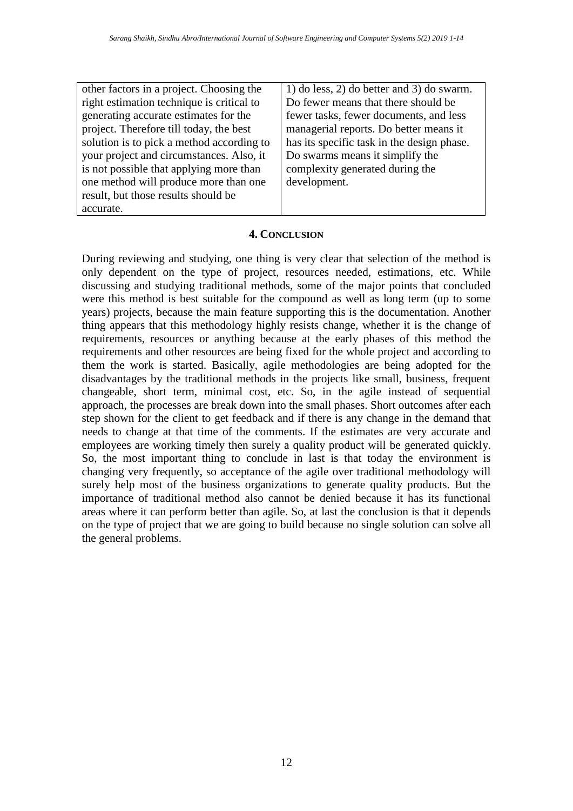| other factors in a project. Choosing the  | 1) do less, 2) do better and 3) do swarm.  |
|-------------------------------------------|--------------------------------------------|
| right estimation technique is critical to | Do fewer means that there should be        |
| generating accurate estimates for the     | fewer tasks, fewer documents, and less     |
| project. Therefore till today, the best   | managerial reports. Do better means it     |
| solution is to pick a method according to | has its specific task in the design phase. |
| your project and circumstances. Also, it  | Do swarms means it simplify the            |
| is not possible that applying more than   | complexity generated during the            |
| one method will produce more than one     | development.                               |
| result, but those results should be       |                                            |
| accurate.                                 |                                            |
|                                           |                                            |

### **4. CONCLUSION**

During reviewing and studying, one thing is very clear that selection of the method is only dependent on the type of project, resources needed, estimations, etc. While discussing and studying traditional methods, some of the major points that concluded were this method is best suitable for the compound as well as long term (up to some years) projects, because the main feature supporting this is the documentation. Another thing appears that this methodology highly resists change, whether it is the change of requirements, resources or anything because at the early phases of this method the requirements and other resources are being fixed for the whole project and according to them the work is started. Basically, agile methodologies are being adopted for the disadvantages by the traditional methods in the projects like small, business, frequent changeable, short term, minimal cost, etc. So, in the agile instead of sequential approach, the processes are break down into the small phases. Short outcomes after each step shown for the client to get feedback and if there is any change in the demand that needs to change at that time of the comments. If the estimates are very accurate and employees are working timely then surely a quality product will be generated quickly. So, the most important thing to conclude in last is that today the environment is changing very frequently, so acceptance of the agile over traditional methodology will surely help most of the business organizations to generate quality products. But the importance of traditional method also cannot be denied because it has its functional areas where it can perform better than agile. So, at last the conclusion is that it depends on the type of project that we are going to build because no single solution can solve all the general problems.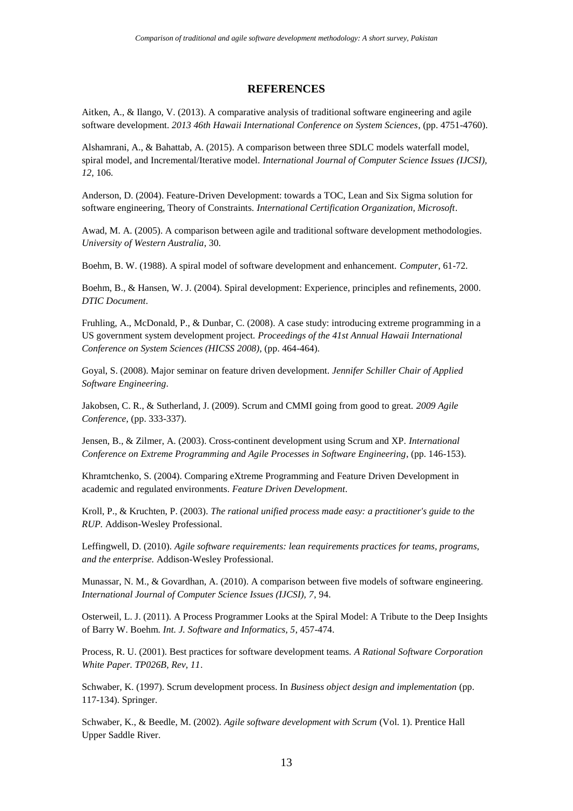### **REFERENCES**

Aitken, A., & Ilango, V. (2013). A comparative analysis of traditional software engineering and agile software development. *2013 46th Hawaii International Conference on System Sciences*, (pp. 4751-4760).

Alshamrani, A., & Bahattab, A. (2015). A comparison between three SDLC models waterfall model, spiral model, and Incremental/Iterative model. *International Journal of Computer Science Issues (IJCSI), 12*, 106.

Anderson, D. (2004). Feature-Driven Development: towards a TOC, Lean and Six Sigma solution for software engineering, Theory of Constraints. *International Certification Organization, Microsoft*.

Awad, M. A. (2005). A comparison between agile and traditional software development methodologies. *University of Western Australia*, 30.

Boehm, B. W. (1988). A spiral model of software development and enhancement. *Computer*, 61-72.

Boehm, B., & Hansen, W. J. (2004). Spiral development: Experience, principles and refinements, 2000. *DTIC Document*.

Fruhling, A., McDonald, P., & Dunbar, C. (2008). A case study: introducing extreme programming in a US government system development project. *Proceedings of the 41st Annual Hawaii International Conference on System Sciences (HICSS 2008)*, (pp. 464-464).

Goyal, S. (2008). Major seminar on feature driven development. *Jennifer Schiller Chair of Applied Software Engineering*.

Jakobsen, C. R., & Sutherland, J. (2009). Scrum and CMMI going from good to great. *2009 Agile Conference*, (pp. 333-337).

Jensen, B., & Zilmer, A. (2003). Cross-continent development using Scrum and XP. *International Conference on Extreme Programming and Agile Processes in Software Engineering*, (pp. 146-153).

Khramtchenko, S. (2004). Comparing eXtreme Programming and Feature Driven Development in academic and regulated environments. *Feature Driven Development*.

Kroll, P., & Kruchten, P. (2003). *The rational unified process made easy: a practitioner's guide to the RUP.* Addison-Wesley Professional.

Leffingwell, D. (2010). *Agile software requirements: lean requirements practices for teams, programs, and the enterprise.* Addison-Wesley Professional.

Munassar, N. M., & Govardhan, A. (2010). A comparison between five models of software engineering. *International Journal of Computer Science Issues (IJCSI), 7*, 94.

Osterweil, L. J. (2011). A Process Programmer Looks at the Spiral Model: A Tribute to the Deep Insights of Barry W. Boehm. *Int. J. Software and Informatics, 5*, 457-474.

Process, R. U. (2001). Best practices for software development teams. *A Rational Software Corporation White Paper. TP026B, Rev, 11*.

Schwaber, K. (1997). Scrum development process. In *Business object design and implementation* (pp. 117-134). Springer.

Schwaber, K., & Beedle, M. (2002). *Agile software development with Scrum* (Vol. 1). Prentice Hall Upper Saddle River.